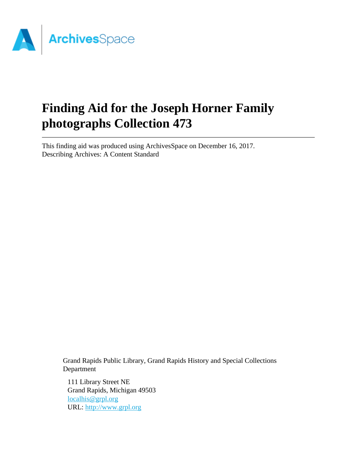

# **Finding Aid for the Joseph Horner Family photographs Collection 473**

This finding aid was produced using ArchivesSpace on December 16, 2017. Describing Archives: A Content Standard

Grand Rapids Public Library, Grand Rapids History and Special Collections Department

111 Library Street NE Grand Rapids, Michigan 49503 [localhis@grpl.org](mailto:localhis@grpl.org) URL:<http://www.grpl.org>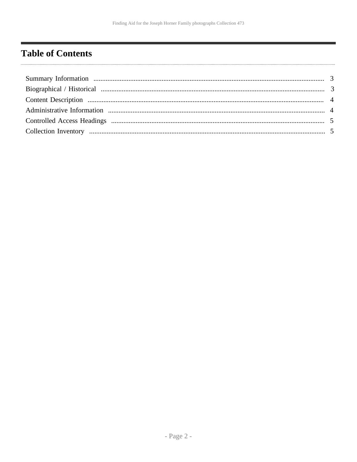# <span id="page-1-0"></span>**Table of Contents**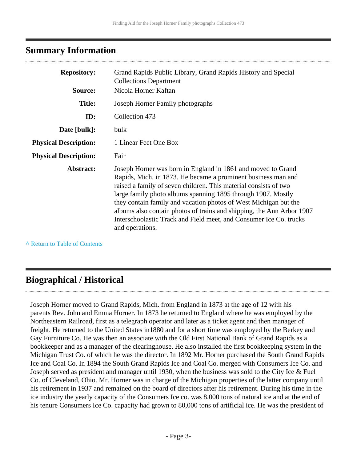## <span id="page-2-0"></span>**Summary Information**

| <b>Repository:</b>           | Grand Rapids Public Library, Grand Rapids History and Special<br><b>Collections Department</b>                                                                                                                                                                                                                                                                                                                                                                                                          |
|------------------------------|---------------------------------------------------------------------------------------------------------------------------------------------------------------------------------------------------------------------------------------------------------------------------------------------------------------------------------------------------------------------------------------------------------------------------------------------------------------------------------------------------------|
| Source:                      | Nicola Horner Kaftan                                                                                                                                                                                                                                                                                                                                                                                                                                                                                    |
| <b>Title:</b>                | Joseph Horner Family photographs                                                                                                                                                                                                                                                                                                                                                                                                                                                                        |
| ID:                          | Collection 473                                                                                                                                                                                                                                                                                                                                                                                                                                                                                          |
| Date [bulk]:                 | bulk                                                                                                                                                                                                                                                                                                                                                                                                                                                                                                    |
| <b>Physical Description:</b> | 1 Linear Feet One Box                                                                                                                                                                                                                                                                                                                                                                                                                                                                                   |
| <b>Physical Description:</b> | Fair                                                                                                                                                                                                                                                                                                                                                                                                                                                                                                    |
| Abstract:                    | Joseph Horner was born in England in 1861 and moved to Grand<br>Rapids, Mich. in 1873. He became a prominent business man and<br>raised a family of seven children. This material consists of two<br>large family photo albums spanning 1895 through 1907. Mostly<br>they contain family and vacation photos of West Michigan but the<br>albums also contain photos of trains and shipping, the Ann Arbor 1907<br>Interschoolastic Track and Field meet, and Consumer Ice Co. trucks<br>and operations. |

**^** [Return to Table of Contents](#page-1-0)

## <span id="page-2-1"></span>**Biographical / Historical**

Joseph Horner moved to Grand Rapids, Mich. from England in 1873 at the age of 12 with his parents Rev. John and Emma Horner. In 1873 he returned to England where he was employed by the Northeastern Railroad, first as a telegraph operator and later as a ticket agent and then manager of freight. He returned to the United States in1880 and for a short time was employed by the Berkey and Gay Furniture Co. He was then an associate with the Old First National Bank of Grand Rapids as a bookkeeper and as a manager of the clearinghouse. He also installed the first bookkeeping system in the Michigan Trust Co. of which he was the director. In 1892 Mr. Horner purchased the South Grand Rapids Ice and Coal Co. In 1894 the South Grand Rapids Ice and Coal Co. merged with Consumers Ice Co. and Joseph served as president and manager until 1930, when the business was sold to the City Ice & Fuel Co. of Cleveland, Ohio. Mr. Horner was in charge of the Michigan properties of the latter company until his retirement in 1937 and remained on the board of directors after his retirement. During his time in the ice industry the yearly capacity of the Consumers Ice co. was 8,000 tons of natural ice and at the end of his tenure Consumers Ice Co. capacity had grown to 80,000 tons of artificial ice. He was the president of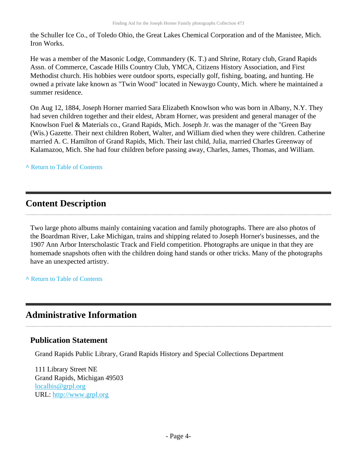the Schuller Ice Co., of Toledo Ohio, the Great Lakes Chemical Corporation and of the Manistee, Mich. Iron Works.

He was a member of the Masonic Lodge, Commandery (K. T.) and Shrine, Rotary club, Grand Rapids Assn. of Commerce, Cascade Hills Country Club, YMCA, Citizens History Association, and First Methodist church. His hobbies were outdoor sports, especially golf, fishing, boating, and hunting. He owned a private lake known as "Twin Wood" located in Newaygo County, Mich. where he maintained a summer residence.

On Aug 12, 1884, Joseph Horner married Sara Elizabeth Knowlson who was born in Albany, N.Y. They had seven children together and their eldest, Abram Horner, was president and general manager of the Knowlson Fuel & Materials co., Grand Rapids, Mich. Joseph Jr. was the manager of the "Green Bay (Wis.) Gazette. Their next children Robert, Walter, and William died when they were children. Catherine married A. C. Hamilton of Grand Rapids, Mich. Their last child, Julia, married Charles Greenway of Kalamazoo, Mich. She had four children before passing away, Charles, James, Thomas, and William.

**^** [Return to Table of Contents](#page-1-0)

## <span id="page-3-0"></span>**Content Description**

Two large photo albums mainly containing vacation and family photographs. There are also photos of the Boardman River, Lake Michigan, trains and shipping related to Joseph Horner's businesses, and the 1907 Ann Arbor Interscholastic Track and Field competition. Photographs are unique in that they are homemade snapshots often with the children doing hand stands or other tricks. Many of the photographs have an unexpected artistry.

**^** [Return to Table of Contents](#page-1-0)

### <span id="page-3-1"></span>**Administrative Information**

#### **Publication Statement**

Grand Rapids Public Library, Grand Rapids History and Special Collections Department

111 Library Street NE Grand Rapids, Michigan 49503 [localhis@grpl.org](mailto:localhis@grpl.org) URL:<http://www.grpl.org>